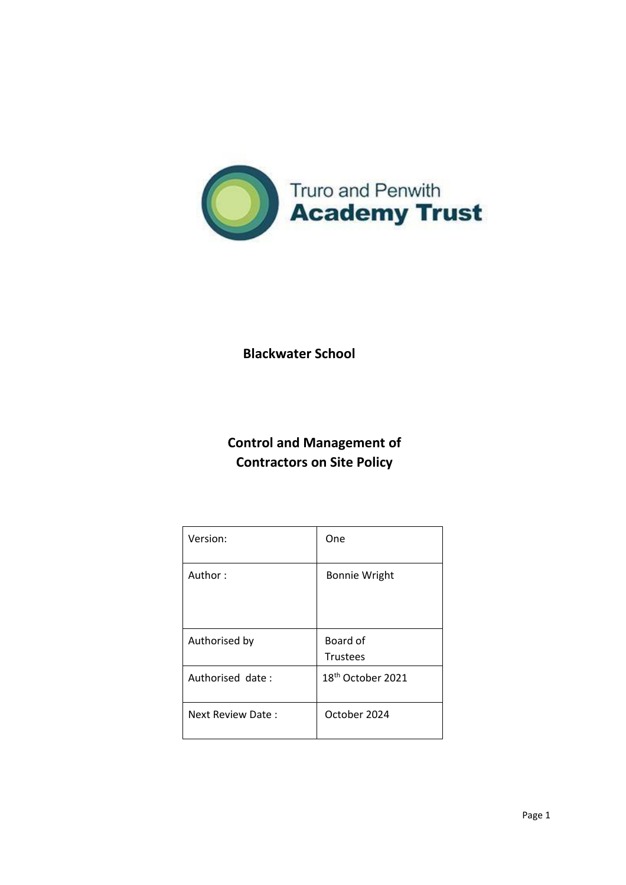

**Blackwater School**

**Control and Management of Contractors on Site Policy**

| Version:          | One                           |
|-------------------|-------------------------------|
| Author:           | <b>Bonnie Wright</b>          |
| Authorised by     | Board of<br><b>Trustees</b>   |
| Authorised date:  | 18 <sup>th</sup> October 2021 |
| Next Review Date: | October 2024                  |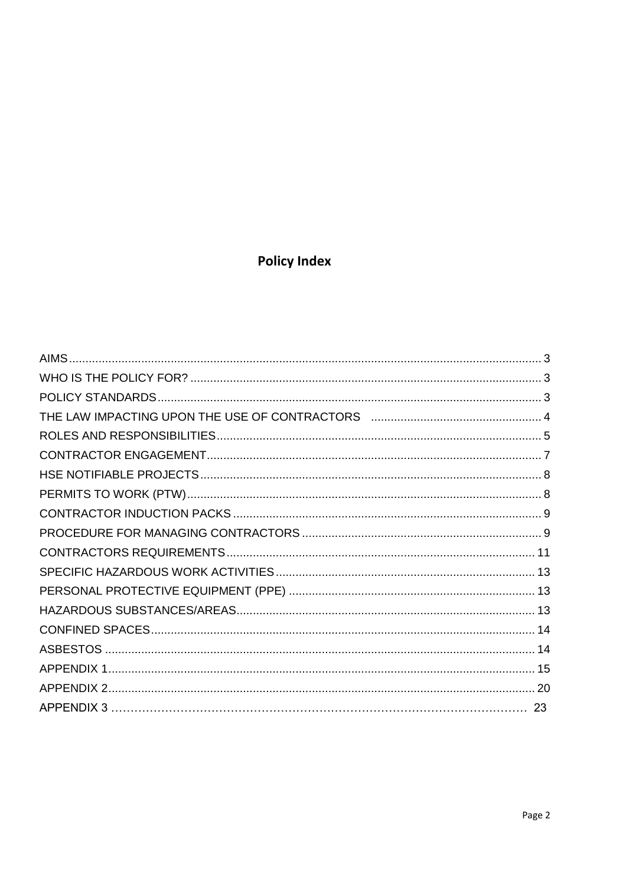# **Policy Index**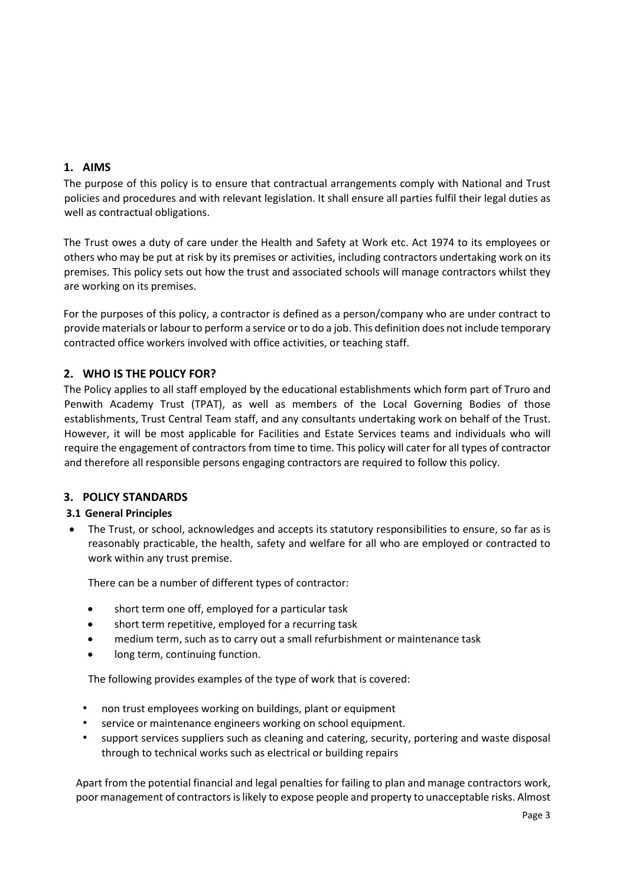# **1. AIMS**

The purpose of this policy is to ensure that contractual arrangements comply with National and Trust policies and procedures and with relevant legislation. It shall ensure all parties fulfil their legal duties as well as contractual obligations.

The Trust owes a duty of care under the Health and Safety at Work etc. Act 1974 to its employees or others who may be put at risk by its premises or activities, including contractors undertaking work on its premises. This policy sets out how the trust and associated schools will manage contractors whilst they are working on its premises.

For the purposes of this policy, a contractor is defined as a person/company who are under contract to provide materials or labour to perform a service or to do a job. This definition does not include temporary contracted office workers involved with office activities, or teaching staff.

# **2. WHO IS THE POLICY FOR?**

The Policy applies to all staff employed by the educational establishments which form part of Truro and Penwith Academy Trust (TPAT), as well as members of the Local Governing Bodies of those establishments, Trust Central Team staff, and any consultants undertaking work on behalf of the Trust. However, it will be most applicable for Facilities and Estate Services teams and individuals who will require the engagement of contractors from time to time. This policy will cater for all types of contractor and therefore all responsible persons engaging contractors are required to follow this policy.

# <span id="page-2-0"></span>**3. POLICY STANDARDS**

## **3.1 General Principles**

 The Trust, or school, acknowledges and accepts its statutory responsibilities to ensure, so far as is reasonably practicable, the health, safety and welfare for all who are employed or contracted to work within any trust premise.

There can be a number of different types of contractor:

- short term one off, employed for a particular task
- short term repetitive, employed for a recurring task
- medium term, such as to carry out a small refurbishment or maintenance task
- long term, continuing function.

The following provides examples of the type of work that is covered:

- non trust employees working on buildings, plant or equipment
- service or maintenance engineers working on school equipment.
- support services suppliers such as cleaning and catering, security, portering and waste disposal through to technical works such as electrical or building repairs

Apart from the potential financial and legal penalties for failing to plan and manage contractors work, poor management of contractors is likely to expose people and property to unacceptable risks. Almost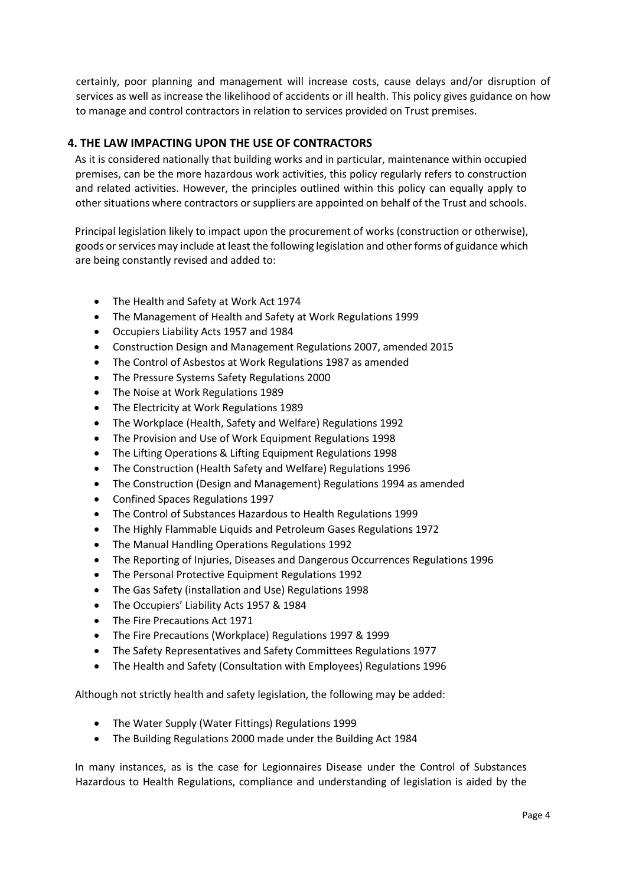certainly, poor planning and management will increase costs, cause delays and/or disruption of services as well as increase the likelihood of accidents or ill health. This policy gives guidance on how to manage and control contractors in relation to services provided on Trust premises.

# **4. THE LAW IMPACTING UPON THE USE OF CONTRACTORS**

As it is considered nationally that building works and in particular, maintenance within occupied premises, can be the more hazardous work activities, this policy regularly refers to construction and related activities. However, the principles outlined within this policy can equally apply to other situations where contractors or suppliers are appointed on behalf of the Trust and schools.

Principal legislation likely to impact upon the procurement of works (construction or otherwise), goods or services may include at least the following legislation and other forms of guidance which are being constantly revised and added to:

- The Health and Safety at Work Act 1974
- The Management of Health and Safety at Work Regulations 1999
- Occupiers Liability Acts 1957 and 1984
- Construction Design and Management Regulations 2007, amended 2015
- The Control of Asbestos at Work Regulations 1987 as amended
- The Pressure Systems Safety Regulations 2000
- The Noise at Work Regulations 1989
- The Electricity at Work Regulations 1989
- The Workplace (Health, Safety and Welfare) Regulations 1992
- The Provision and Use of Work Equipment Regulations 1998
- The Lifting Operations & Lifting Equipment Regulations 1998
- The Construction (Health Safety and Welfare) Regulations 1996
- The Construction (Design and Management) Regulations 1994 as amended
- Confined Spaces Regulations 1997
- The Control of Substances Hazardous to Health Regulations 1999
- The Highly Flammable Liquids and Petroleum Gases Regulations 1972
- The Manual Handling Operations Regulations 1992
- The Reporting of Injuries, Diseases and Dangerous Occurrences Regulations 1996
- The Personal Protective Equipment Regulations 1992
- The Gas Safety (installation and Use) Regulations 1998
- The Occupiers' Liability Acts 1957 & 1984
- The Fire Precautions Act 1971
- The Fire Precautions (Workplace) Regulations 1997 & 1999
- The Safety Representatives and Safety Committees Regulations 1977
- The Health and Safety (Consultation with Employees) Regulations 1996

Although not strictly health and safety legislation, the following may be added:

- The Water Supply (Water Fittings) Regulations 1999
- The Building Regulations 2000 made under the Building Act 1984

In many instances, as is the case for Legionnaires Disease under the Control of Substances Hazardous to Health Regulations, compliance and understanding of legislation is aided by the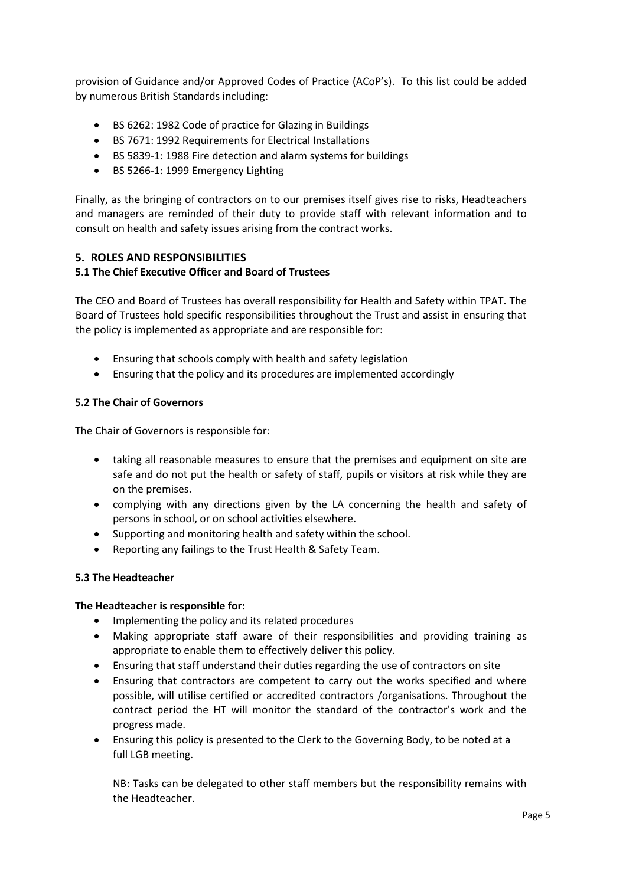provision of Guidance and/or Approved Codes of Practice (ACoP's). To this list could be added by numerous British Standards including:

- BS 6262: 1982 Code of practice for Glazing in Buildings
- BS 7671: 1992 Requirements for Electrical Installations
- BS 5839-1: 1988 Fire detection and alarm systems for buildings
- BS 5266-1: 1999 Emergency Lighting

Finally, as the bringing of contractors on to our premises itself gives rise to risks, Headteachers and managers are reminded of their duty to provide staff with relevant information and to consult on health and safety issues arising from the contract works.

#### **5. ROLES AND RESPONSIBILITIES**

#### **5.1 The Chief Executive Officer and Board of Trustees**

The CEO and Board of Trustees has overall responsibility for Health and Safety within TPAT. The Board of Trustees hold specific responsibilities throughout the Trust and assist in ensuring that the policy is implemented as appropriate and are responsible for:

- Ensuring that schools comply with health and safety legislation
- Ensuring that the policy and its procedures are implemented accordingly

#### **5.2 The Chair of Governors**

The Chair of Governors is responsible for:

- taking all reasonable measures to ensure that the premises and equipment on site are safe and do not put the health or safety of staff, pupils or visitors at risk while they are on the premises.
- complying with any directions given by the LA concerning the health and safety of persons in school, or on school activities elsewhere.
- Supporting and monitoring health and safety within the school.
- Reporting any failings to the Trust Health & Safety Team.

#### **5.3 The Headteacher**

#### **The Headteacher is responsible for:**

- Implementing the policy and its related procedures
- Making appropriate staff aware of their responsibilities and providing training as appropriate to enable them to effectively deliver this policy.
- Ensuring that staff understand their duties regarding the use of contractors on site
- Ensuring that contractors are competent to carry out the works specified and where possible, will utilise certified or accredited contractors /organisations. Throughout the contract period the HT will monitor the standard of the contractor's work and the progress made.
- Ensuring this policy is presented to the Clerk to the Governing Body, to be noted at a full LGB meeting.

NB: Tasks can be delegated to other staff members but the responsibility remains with the Headteacher.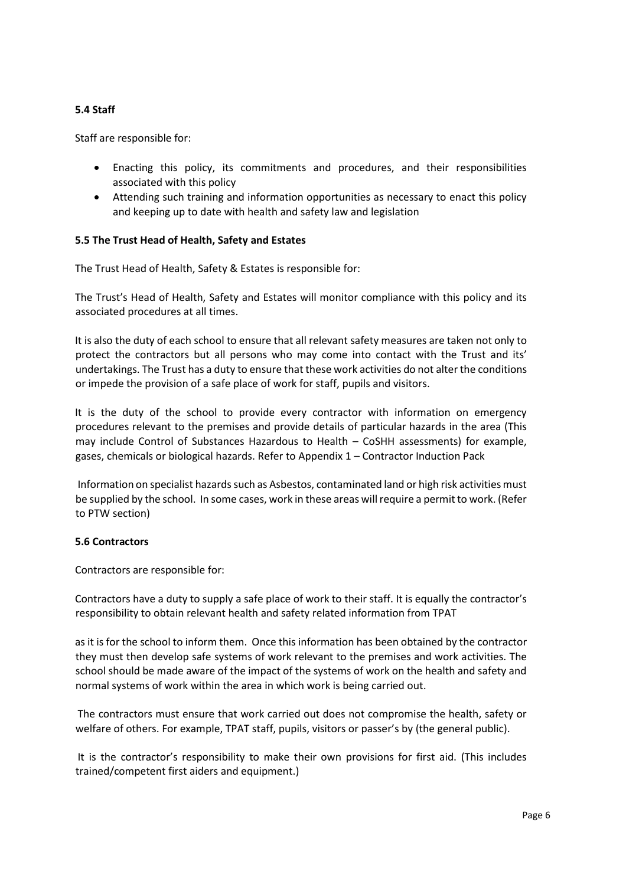## **5.4 Staff**

Staff are responsible for:

- Enacting this policy, its commitments and procedures, and their responsibilities associated with this policy
- Attending such training and information opportunities as necessary to enact this policy and keeping up to date with health and safety law and legislation

#### **5.5 The Trust Head of Health, Safety and Estates**

The Trust Head of Health, Safety & Estates is responsible for:

The Trust's Head of Health, Safety and Estates will monitor compliance with this policy and its associated procedures at all times.

It is also the duty of each school to ensure that all relevant safety measures are taken not only to protect the contractors but all persons who may come into contact with the Trust and its' undertakings. The Trust has a duty to ensure that these work activities do not alter the conditions or impede the provision of a safe place of work for staff, pupils and visitors.

It is the duty of the school to provide every contractor with information on emergency procedures relevant to the premises and provide details of particular hazards in the area (This may include Control of Substances Hazardous to Health – CoSHH assessments) for example, gases, chemicals or biological hazards. Refer to Appendix 1 – Contractor Induction Pack

Information on specialist hazards such as Asbestos, contaminated land or high risk activities must be supplied by the school. In some cases, work in these areas will require a permit to work. (Refer to PTW section)

#### **5.6 Contractors**

Contractors are responsible for:

Contractors have a duty to supply a safe place of work to their staff. It is equally the contractor's responsibility to obtain relevant health and safety related information from TPAT

as it is for the school to inform them. Once this information has been obtained by the contractor they must then develop safe systems of work relevant to the premises and work activities. The school should be made aware of the impact of the systems of work on the health and safety and normal systems of work within the area in which work is being carried out.

The contractors must ensure that work carried out does not compromise the health, safety or welfare of others. For example, TPAT staff, pupils, visitors or passer's by (the general public).

It is the contractor's responsibility to make their own provisions for first aid. (This includes trained/competent first aiders and equipment.)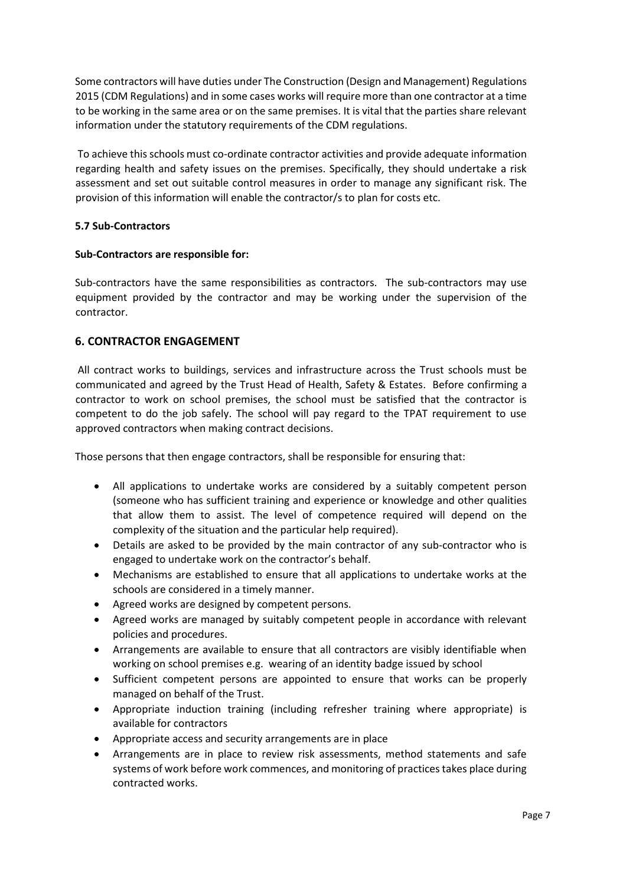Some contractors will have duties under The Construction (Design and Management) Regulations 2015 (CDM Regulations) and in some cases works will require more than one contractor at a time to be working in the same area or on the same premises. It is vital that the parties share relevant information under the statutory requirements of the CDM regulations.

To achieve this schools must co-ordinate contractor activities and provide adequate information regarding health and safety issues on the premises. Specifically, they should undertake a risk assessment and set out suitable control measures in order to manage any significant risk. The provision of this information will enable the contractor/s to plan for costs etc.

## **5.7 Sub-Contractors**

#### **Sub-Contractors are responsible for:**

Sub-contractors have the same responsibilities as contractors. The sub-contractors may use equipment provided by the contractor and may be working under the supervision of the contractor.

## **6. CONTRACTOR ENGAGEMENT**

All contract works to buildings, services and infrastructure across the Trust schools must be communicated and agreed by the Trust Head of Health, Safety & Estates. Before confirming a contractor to work on school premises, the school must be satisfied that the contractor is competent to do the job safely. The school will pay regard to the TPAT requirement to use approved contractors when making contract decisions.

Those persons that then engage contractors, shall be responsible for ensuring that:

- All applications to undertake works are considered by a suitably competent person (someone who has sufficient training and experience or knowledge and other qualities that allow them to assist. The level of competence required will depend on the complexity of the situation and the particular help required).
- Details are asked to be provided by the main contractor of any sub-contractor who is engaged to undertake work on the contractor's behalf.
- Mechanisms are established to ensure that all applications to undertake works at the schools are considered in a timely manner.
- Agreed works are designed by competent persons.
- Agreed works are managed by suitably competent people in accordance with relevant policies and procedures.
- Arrangements are available to ensure that all contractors are visibly identifiable when working on school premises e.g. wearing of an identity badge issued by school
- Sufficient competent persons are appointed to ensure that works can be properly managed on behalf of the Trust.
- Appropriate induction training (including refresher training where appropriate) is available for contractors
- Appropriate access and security arrangements are in place
- Arrangements are in place to review risk assessments, method statements and safe systems of work before work commences, and monitoring of practices takes place during contracted works.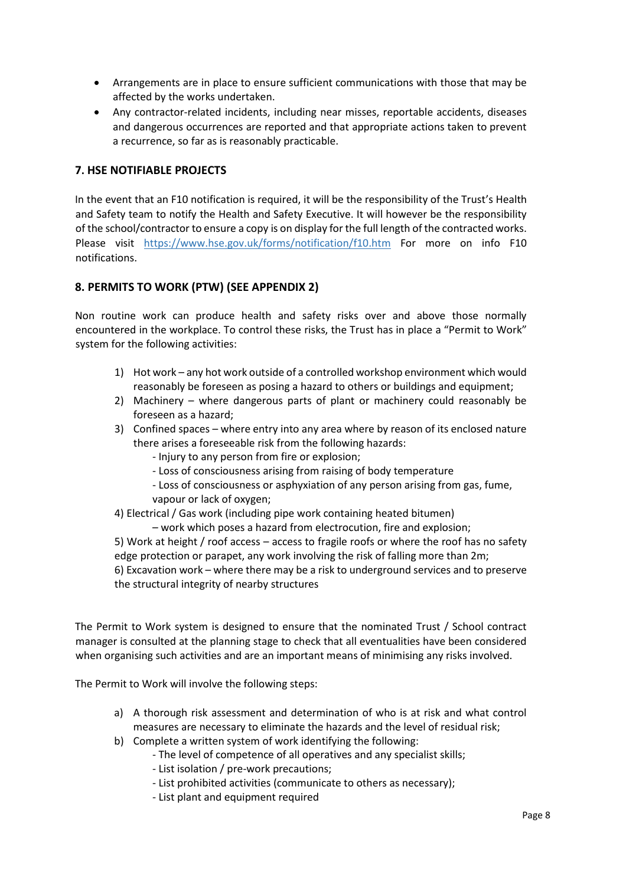- Arrangements are in place to ensure sufficient communications with those that may be affected by the works undertaken.
- Any contractor-related incidents, including near misses, reportable accidents, diseases and dangerous occurrences are reported and that appropriate actions taken to prevent a recurrence, so far as is reasonably practicable.

## **7. HSE NOTIFIABLE PROJECTS**

In the event that an F10 notification is required, it will be the responsibility of the Trust's Health and Safety team to notify the Health and Safety Executive. It will however be the responsibility of the school/contractor to ensure a copy is on display for the full length of the contracted works. Please visit <https://www.hse.gov.uk/forms/notification/f10.htm> For more on info F10 notifications.

## **8. PERMITS TO WORK (PTW) (SEE APPENDIX 2)**

Non routine work can produce health and safety risks over and above those normally encountered in the workplace. To control these risks, the Trust has in place a "Permit to Work" system for the following activities:

- 1) Hot work any hot work outside of a controlled workshop environment which would reasonably be foreseen as posing a hazard to others or buildings and equipment;
- 2) Machinery where dangerous parts of plant or machinery could reasonably be foreseen as a hazard;
- 3) Confined spaces where entry into any area where by reason of its enclosed nature there arises a foreseeable risk from the following hazards:
	- Injury to any person from fire or explosion;
	- Loss of consciousness arising from raising of body temperature
	- Loss of consciousness or asphyxiation of any person arising from gas, fume,
	- vapour or lack of oxygen;
- 4) Electrical / Gas work (including pipe work containing heated bitumen)

– work which poses a hazard from electrocution, fire and explosion; 5) Work at height / roof access – access to fragile roofs or where the roof has no safety edge protection or parapet, any work involving the risk of falling more than 2m; 6) Excavation work – where there may be a risk to underground services and to preserve the structural integrity of nearby structures

The Permit to Work system is designed to ensure that the nominated Trust / School contract manager is consulted at the planning stage to check that all eventualities have been considered when organising such activities and are an important means of minimising any risks involved.

The Permit to Work will involve the following steps:

- a) A thorough risk assessment and determination of who is at risk and what control measures are necessary to eliminate the hazards and the level of residual risk;
- b) Complete a written system of work identifying the following:
	- The level of competence of all operatives and any specialist skills;
	- List isolation / pre-work precautions;
	- List prohibited activities (communicate to others as necessary);
	- List plant and equipment required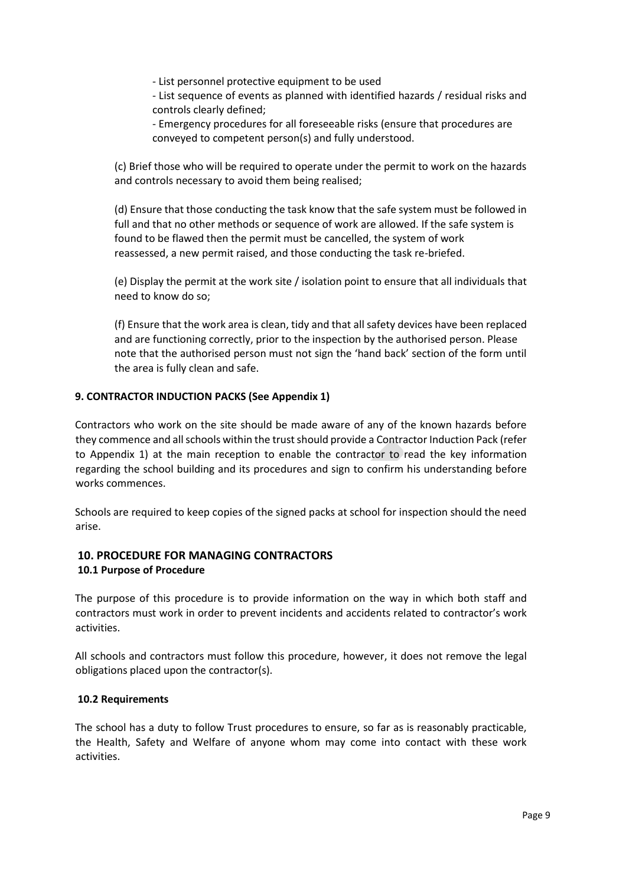- List personnel protective equipment to be used

- List sequence of events as planned with identified hazards / residual risks and controls clearly defined;

- Emergency procedures for all foreseeable risks (ensure that procedures are conveyed to competent person(s) and fully understood.

(c) Brief those who will be required to operate under the permit to work on the hazards and controls necessary to avoid them being realised;

(d) Ensure that those conducting the task know that the safe system must be followed in full and that no other methods or sequence of work are allowed. If the safe system is found to be flawed then the permit must be cancelled, the system of work reassessed, a new permit raised, and those conducting the task re-briefed.

(e) Display the permit at the work site / isolation point to ensure that all individuals that need to know do so;

(f) Ensure that the work area is clean, tidy and that all safety devices have been replaced and are functioning correctly, prior to the inspection by the authorised person. Please note that the authorised person must not sign the 'hand back' section of the form until the area is fully clean and safe.

## **9. CONTRACTOR INDUCTION PACKS (See Appendix 1)**

Contractors who work on the site should be made aware of any of the known hazards before they commence and all schools within the trust should provide a Contractor Induction Pack (refer to Appendix 1) at the main reception to enable the contractor to read the key information regarding the school building and its procedures and sign to confirm his understanding before works commences.

Schools are required to keep copies of the signed packs at school for inspection should the need arise.

## **10. PROCEDURE FOR MANAGING CONTRACTORS 10.1 Purpose of Procedure**

The purpose of this procedure is to provide information on the way in which both staff and contractors must work in order to prevent incidents and accidents related to contractor's work activities.

All schools and contractors must follow this procedure, however, it does not remove the legal obligations placed upon the contractor(s).

#### **10.2 Requirements**

The school has a duty to follow Trust procedures to ensure, so far as is reasonably practicable, the Health, Safety and Welfare of anyone whom may come into contact with these work activities.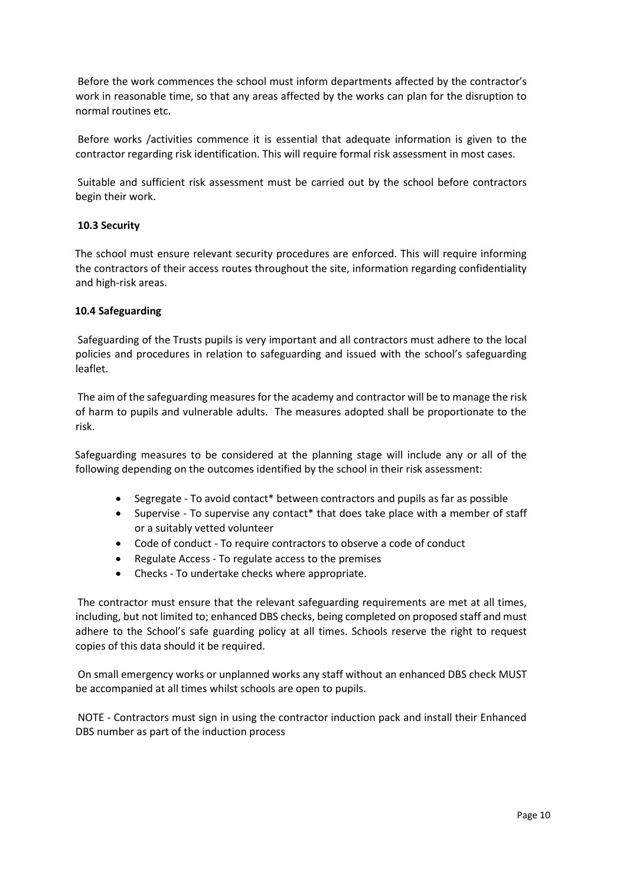Before the work commences the school must inform departments affected by the contractor's work in reasonable time, so that any areas affected by the works can plan for the disruption to normal routines etc.

Before works /activities commence it is essential that adequate information is given to the contractor regarding risk identification. This will require formal risk assessment in most cases.

Suitable and sufficient risk assessment must be carried out by the school before contractors begin their work.

#### **10.3 Security**

The school must ensure relevant security procedures are enforced. This will require informing the contractors of their access routes throughout the site, information regarding confidentiality and high-risk areas.

#### **10.4 Safeguarding**

Safeguarding of the Trusts pupils is very important and all contractors must adhere to the local policies and procedures in relation to safeguarding and issued with the school's safeguarding leaflet.

The aim of the safeguarding measures for the academy and contractor will be to manage the risk of harm to pupils and vulnerable adults. The measures adopted shall be proportionate to the risk.

Safeguarding measures to be considered at the planning stage will include any or all of the following depending on the outcomes identified by the school in their risk assessment:

- Segregate To avoid contact\* between contractors and pupils as far as possible
- Supervise To supervise any contact\* that does take place with a member of staff or a suitably vetted volunteer
- Code of conduct To require contractors to observe a code of conduct
- Regulate Access To regulate access to the premises
- Checks To undertake checks where appropriate.

The contractor must ensure that the relevant safeguarding requirements are met at all times, including, but not limited to; enhanced DBS checks, being completed on proposed staff and must adhere to the School's safe guarding policy at all times. Schools reserve the right to request copies of this data should it be required.

On small emergency works or unplanned works any staff without an enhanced DBS check MUST be accompanied at all times whilst schools are open to pupils.

NOTE - Contractors must sign in using the contractor induction pack and install their Enhanced DBS number as part of the induction process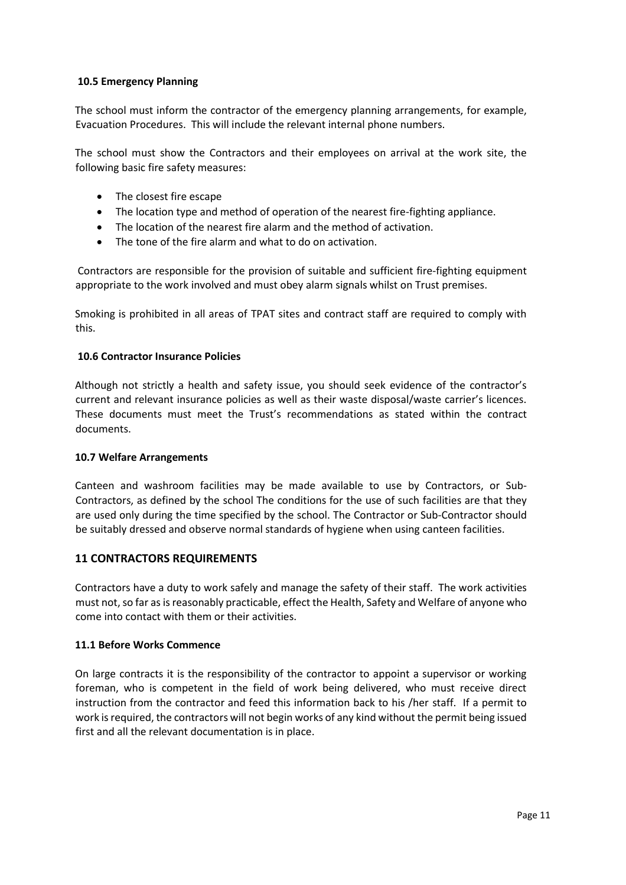### **10.5 Emergency Planning**

The school must inform the contractor of the emergency planning arrangements, for example, Evacuation Procedures. This will include the relevant internal phone numbers.

The school must show the Contractors and their employees on arrival at the work site, the following basic fire safety measures:

- The closest fire escape
- The location type and method of operation of the nearest fire-fighting appliance.
- The location of the nearest fire alarm and the method of activation.
- The tone of the fire alarm and what to do on activation.

Contractors are responsible for the provision of suitable and sufficient fire-fighting equipment appropriate to the work involved and must obey alarm signals whilst on Trust premises.

Smoking is prohibited in all areas of TPAT sites and contract staff are required to comply with this.

#### **10.6 Contractor Insurance Policies**

Although not strictly a health and safety issue, you should seek evidence of the contractor's current and relevant insurance policies as well as their waste disposal/waste carrier's licences. These documents must meet the Trust's recommendations as stated within the contract documents.

#### **10.7 Welfare Arrangements**

Canteen and washroom facilities may be made available to use by Contractors, or Sub-Contractors, as defined by the school The conditions for the use of such facilities are that they are used only during the time specified by the school. The Contractor or Sub-Contractor should be suitably dressed and observe normal standards of hygiene when using canteen facilities.

#### **11 CONTRACTORS REQUIREMENTS**

Contractors have a duty to work safely and manage the safety of their staff. The work activities must not, so far as is reasonably practicable, effect the Health, Safety and Welfare of anyone who come into contact with them or their activities.

#### **11.1 Before Works Commence**

On large contracts it is the responsibility of the contractor to appoint a supervisor or working foreman, who is competent in the field of work being delivered, who must receive direct instruction from the contractor and feed this information back to his /her staff. If a permit to work is required, the contractors will not begin works of any kind without the permit being issued first and all the relevant documentation is in place.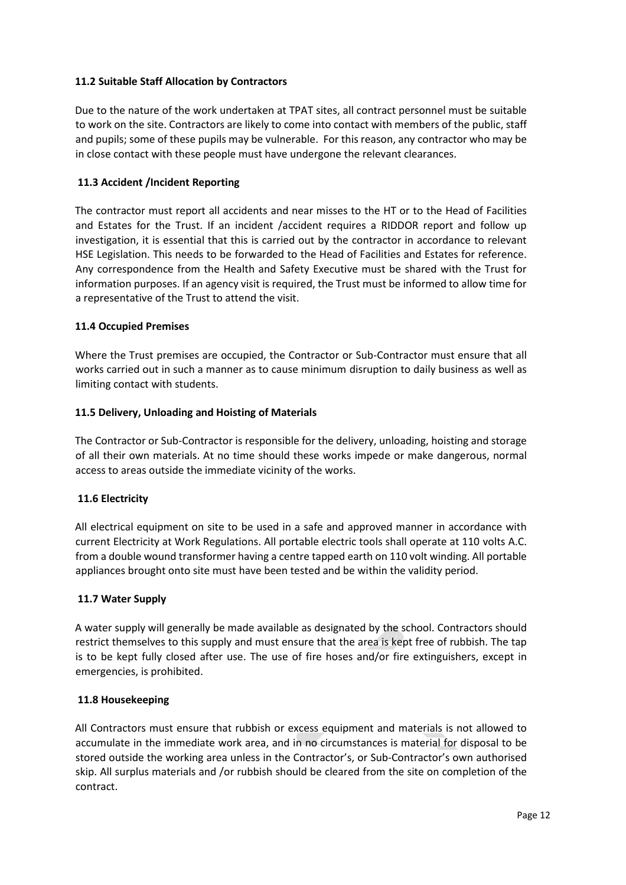## **11.2 Suitable Staff Allocation by Contractors**

Due to the nature of the work undertaken at TPAT sites, all contract personnel must be suitable to work on the site. Contractors are likely to come into contact with members of the public, staff and pupils; some of these pupils may be vulnerable. For this reason, any contractor who may be in close contact with these people must have undergone the relevant clearances.

### **11.3 Accident /Incident Reporting**

The contractor must report all accidents and near misses to the HT or to the Head of Facilities and Estates for the Trust. If an incident /accident requires a RIDDOR report and follow up investigation, it is essential that this is carried out by the contractor in accordance to relevant HSE Legislation. This needs to be forwarded to the Head of Facilities and Estates for reference. Any correspondence from the Health and Safety Executive must be shared with the Trust for information purposes. If an agency visit is required, the Trust must be informed to allow time for a representative of the Trust to attend the visit.

#### **11.4 Occupied Premises**

Where the Trust premises are occupied, the Contractor or Sub-Contractor must ensure that all works carried out in such a manner as to cause minimum disruption to daily business as well as limiting contact with students.

#### **11.5 Delivery, Unloading and Hoisting of Materials**

The Contractor or Sub-Contractor is responsible for the delivery, unloading, hoisting and storage of all their own materials. At no time should these works impede or make dangerous, normal access to areas outside the immediate vicinity of the works.

#### **11.6 Electricity**

All electrical equipment on site to be used in a safe and approved manner in accordance with current Electricity at Work Regulations. All portable electric tools shall operate at 110 volts A.C. from a double wound transformer having a centre tapped earth on 110 volt winding. All portable appliances brought onto site must have been tested and be within the validity period.

#### **11.7 Water Supply**

A water supply will generally be made available as designated by the school. Contractors should restrict themselves to this supply and must ensure that the area is kept free of rubbish. The tap is to be kept fully closed after use. The use of fire hoses and/or fire extinguishers, except in emergencies, is prohibited.

#### **11.8 Housekeeping**

All Contractors must ensure that rubbish or excess equipment and materials is not allowed to accumulate in the immediate work area, and in no circumstances is material for disposal to be stored outside the working area unless in the Contractor's, or Sub-Contractor's own authorised skip. All surplus materials and /or rubbish should be cleared from the site on completion of the contract.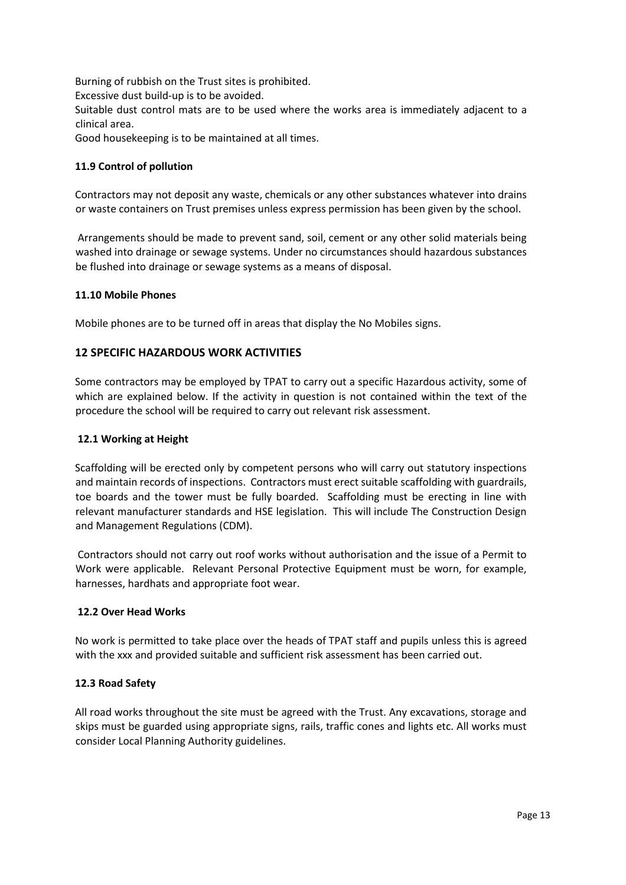Burning of rubbish on the Trust sites is prohibited.

Excessive dust build-up is to be avoided.

Suitable dust control mats are to be used where the works area is immediately adjacent to a clinical area.

Good housekeeping is to be maintained at all times.

## **11.9 Control of pollution**

Contractors may not deposit any waste, chemicals or any other substances whatever into drains or waste containers on Trust premises unless express permission has been given by the school.

Arrangements should be made to prevent sand, soil, cement or any other solid materials being washed into drainage or sewage systems. Under no circumstances should hazardous substances be flushed into drainage or sewage systems as a means of disposal.

#### **11.10 Mobile Phones**

Mobile phones are to be turned off in areas that display the No Mobiles signs.

## **12 SPECIFIC HAZARDOUS WORK ACTIVITIES**

Some contractors may be employed by TPAT to carry out a specific Hazardous activity, some of which are explained below. If the activity in question is not contained within the text of the procedure the school will be required to carry out relevant risk assessment.

#### **12.1 Working at Height**

Scaffolding will be erected only by competent persons who will carry out statutory inspections and maintain records of inspections. Contractors must erect suitable scaffolding with guardrails, toe boards and the tower must be fully boarded. Scaffolding must be erecting in line with relevant manufacturer standards and HSE legislation. This will include The Construction Design and Management Regulations (CDM).

Contractors should not carry out roof works without authorisation and the issue of a Permit to Work were applicable. Relevant Personal Protective Equipment must be worn, for example, harnesses, hardhats and appropriate foot wear.

#### **12.2 Over Head Works**

No work is permitted to take place over the heads of TPAT staff and pupils unless this is agreed with the xxx and provided suitable and sufficient risk assessment has been carried out.

#### **12.3 Road Safety**

All road works throughout the site must be agreed with the Trust. Any excavations, storage and skips must be guarded using appropriate signs, rails, traffic cones and lights etc. All works must consider Local Planning Authority guidelines.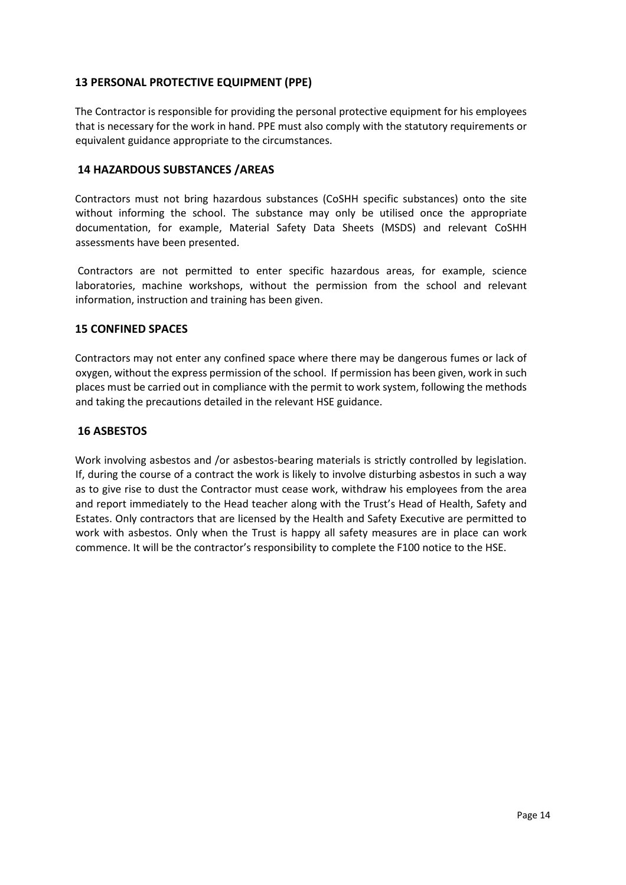## **13 PERSONAL PROTECTIVE EQUIPMENT (PPE)**

The Contractor is responsible for providing the personal protective equipment for his employees that is necessary for the work in hand. PPE must also comply with the statutory requirements or equivalent guidance appropriate to the circumstances.

### **14 HAZARDOUS SUBSTANCES /AREAS**

Contractors must not bring hazardous substances (CoSHH specific substances) onto the site without informing the school. The substance may only be utilised once the appropriate documentation, for example, Material Safety Data Sheets (MSDS) and relevant CoSHH assessments have been presented.

Contractors are not permitted to enter specific hazardous areas, for example, science laboratories, machine workshops, without the permission from the school and relevant information, instruction and training has been given.

## **15 CONFINED SPACES**

Contractors may not enter any confined space where there may be dangerous fumes or lack of oxygen, without the express permission of the school. If permission has been given, work in such places must be carried out in compliance with the permit to work system, following the methods and taking the precautions detailed in the relevant HSE guidance.

## **16 ASBESTOS**

Work involving asbestos and /or asbestos-bearing materials is strictly controlled by legislation. If, during the course of a contract the work is likely to involve disturbing asbestos in such a way as to give rise to dust the Contractor must cease work, withdraw his employees from the area and report immediately to the Head teacher along with the Trust's Head of Health, Safety and Estates. Only contractors that are licensed by the Health and Safety Executive are permitted to work with asbestos. Only when the Trust is happy all safety measures are in place can work commence. It will be the contractor's responsibility to complete the F100 notice to the HSE.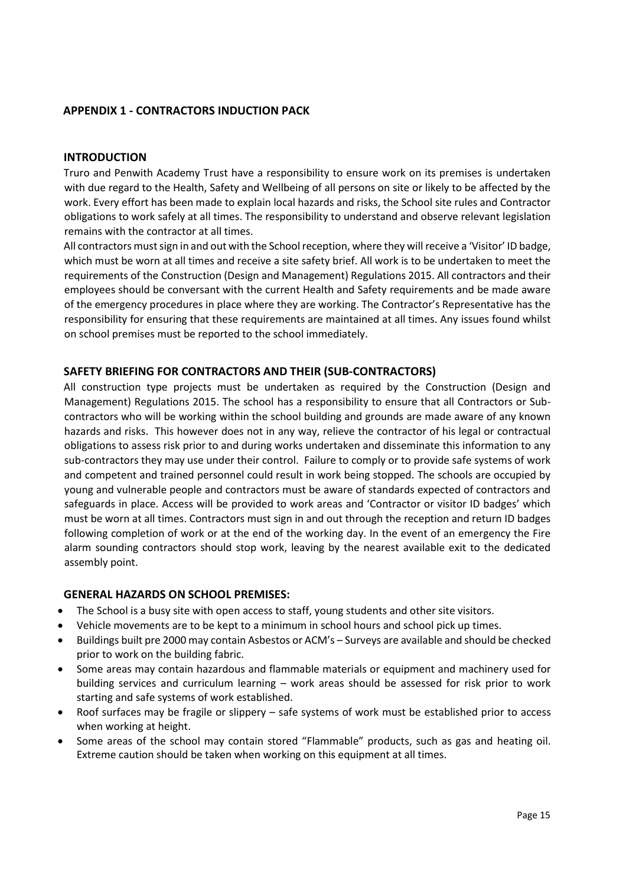## **APPENDIX 1 - CONTRACTORS INDUCTION PACK**

#### <span id="page-14-0"></span>**INTRODUCTION**

Truro and Penwith Academy Trust have a responsibility to ensure work on its premises is undertaken with due regard to the Health, Safety and Wellbeing of all persons on site or likely to be affected by the work. Every effort has been made to explain local hazards and risks, the School site rules and Contractor obligations to work safely at all times. The responsibility to understand and observe relevant legislation remains with the contractor at all times.

All contractors must sign in and out with the School reception, where they will receive a 'Visitor' ID badge, which must be worn at all times and receive a site safety brief. All work is to be undertaken to meet the requirements of the Construction (Design and Management) Regulations 2015. All contractors and their employees should be conversant with the current Health and Safety requirements and be made aware of the emergency procedures in place where they are working. The Contractor's Representative has the responsibility for ensuring that these requirements are maintained at all times. Any issues found whilst on school premises must be reported to the school immediately.

#### <span id="page-14-1"></span>**SAFETY BRIEFING FOR CONTRACTORS AND THEIR (SUB-CONTRACTORS)**

All construction type projects must be undertaken as required by the Construction (Design and Management) Regulations 2015. The school has a responsibility to ensure that all Contractors or Subcontractors who will be working within the school building and grounds are made aware of any known hazards and risks. This however does not in any way, relieve the contractor of his legal or contractual obligations to assess risk prior to and during works undertaken and disseminate this information to any sub-contractors they may use under their control. Failure to comply or to provide safe systems of work and competent and trained personnel could result in work being stopped. The schools are occupied by young and vulnerable people and contractors must be aware of standards expected of contractors and safeguards in place. Access will be provided to work areas and 'Contractor or visitor ID badges' which must be worn at all times. Contractors must sign in and out through the reception and return ID badges following completion of work or at the end of the working day. In the event of an emergency the Fire alarm sounding contractors should stop work, leaving by the nearest available exit to the dedicated assembly point.

#### <span id="page-14-2"></span>**GENERAL HAZARDS ON SCHOOL PREMISES:**

- The School is a busy site with open access to staff, young students and other site visitors.
- Vehicle movements are to be kept to a minimum in school hours and school pick up times.
- Buildings built pre 2000 may contain Asbestos or ACM's Surveys are available and should be checked prior to work on the building fabric.
- Some areas may contain hazardous and flammable materials or equipment and machinery used for building services and curriculum learning – work areas should be assessed for risk prior to work starting and safe systems of work established.
- Roof surfaces may be fragile or slippery safe systems of work must be established prior to access when working at height.
- Some areas of the school may contain stored "Flammable" products, such as gas and heating oil. Extreme caution should be taken when working on this equipment at all times.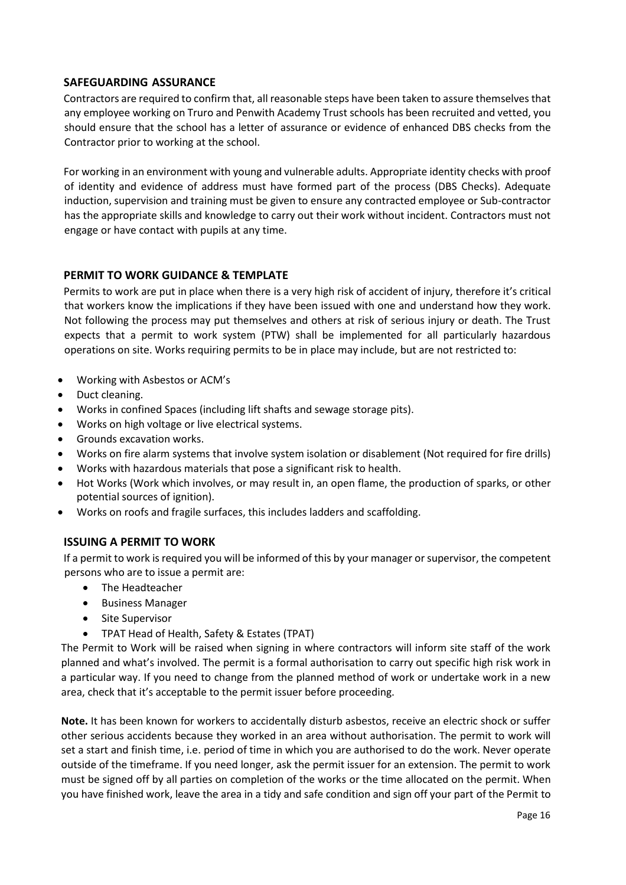## <span id="page-15-0"></span>**SAFEGUARDING ASSURANCE**

Contractors are required to confirm that, all reasonable steps have been taken to assure themselves that any employee working on Truro and Penwith Academy Trust schools has been recruited and vetted, you should ensure that the school has a letter of assurance or evidence of enhanced DBS checks from the Contractor prior to working at the school.

For working in an environment with young and vulnerable adults. Appropriate identity checks with proof of identity and evidence of address must have formed part of the process (DBS Checks). Adequate induction, supervision and training must be given to ensure any contracted employee or Sub-contractor has the appropriate skills and knowledge to carry out their work without incident. Contractors must not engage or have contact with pupils at any time.

## <span id="page-15-1"></span>**PERMIT TO WORK GUIDANCE & TEMPLATE**

Permits to work are put in place when there is a very high risk of accident of injury, therefore it's critical that workers know the implications if they have been issued with one and understand how they work. Not following the process may put themselves and others at risk of serious injury or death. The Trust expects that a permit to work system (PTW) shall be implemented for all particularly hazardous operations on site. Works requiring permits to be in place may include, but are not restricted to:

- Working with Asbestos or ACM's
- Duct cleaning.
- Works in confined Spaces (including lift shafts and sewage storage pits).
- Works on high voltage or live electrical systems.
- Grounds excavation works.
- Works on fire alarm systems that involve system isolation or disablement (Not required for fire drills)
- Works with hazardous materials that pose a significant risk to health.
- Hot Works (Work which involves, or may result in, an open flame, the production of sparks, or other potential sources of ignition).
- Works on roofs and fragile surfaces, this includes ladders and scaffolding.

## <span id="page-15-2"></span>**ISSUING A PERMIT TO WORK**

If a permit to work is required you will be informed of this by your manager or supervisor, the competent persons who are to issue a permit are:

- The Headteacher
- **•** Business Manager
- Site Supervisor
- TPAT Head of Health, Safety & Estates (TPAT)

The Permit to Work will be raised when signing in where contractors will inform site staff of the work planned and what's involved. The permit is a formal authorisation to carry out specific high risk work in a particular way. If you need to change from the planned method of work or undertake work in a new area, check that it's acceptable to the permit issuer before proceeding.

**Note.** It has been known for workers to accidentally disturb asbestos, receive an electric shock or suffer other serious accidents because they worked in an area without authorisation. The permit to work will set a start and finish time, i.e. period of time in which you are authorised to do the work. Never operate outside of the timeframe. If you need longer, ask the permit issuer for an extension. The permit to work must be signed off by all parties on completion of the works or the time allocated on the permit. When you have finished work, leave the area in a tidy and safe condition and sign off your part of the Permit to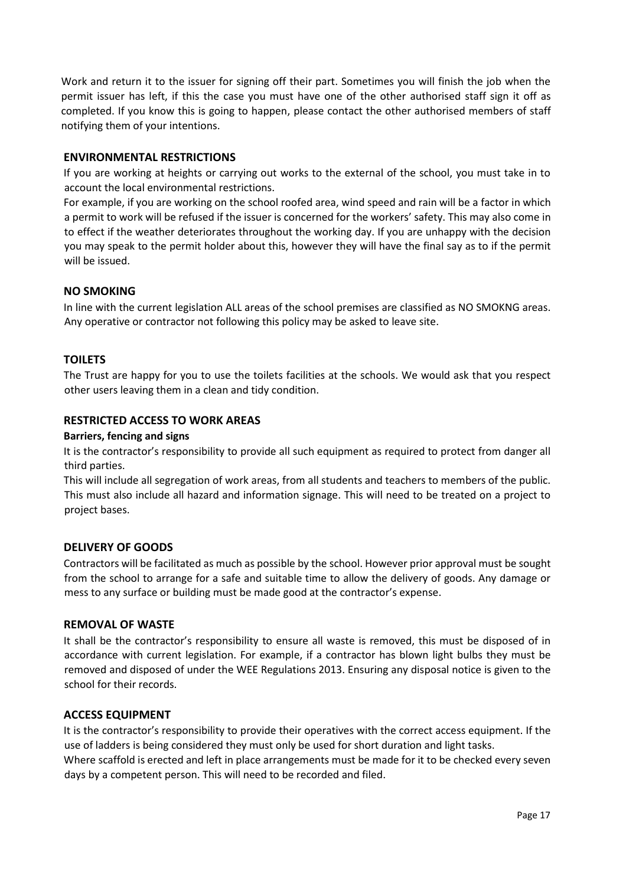Work and return it to the issuer for signing off their part. Sometimes you will finish the job when the permit issuer has left, if this the case you must have one of the other authorised staff sign it off as completed. If you know this is going to happen, please contact the other authorised members of staff notifying them of your intentions.

## <span id="page-16-0"></span>**ENVIRONMENTAL RESTRICTIONS**

If you are working at heights or carrying out works to the external of the school, you must take in to account the local environmental restrictions.

For example, if you are working on the school roofed area, wind speed and rain will be a factor in which a permit to work will be refused if the issuer is concerned for the workers' safety. This may also come in to effect if the weather deteriorates throughout the working day. If you are unhappy with the decision you may speak to the permit holder about this, however they will have the final say as to if the permit will be issued.

## <span id="page-16-1"></span>**NO SMOKING**

In line with the current legislation ALL areas of the school premises are classified as NO SMOKNG areas. Any operative or contractor not following this policy may be asked to leave site.

## <span id="page-16-2"></span>**TOILETS**

The Trust are happy for you to use the toilets facilities at the schools. We would ask that you respect other users leaving them in a clean and tidy condition.

## <span id="page-16-3"></span>**RESTRICTED ACCESS TO WORK AREAS**

#### **Barriers, fencing and signs**

It is the contractor's responsibility to provide all such equipment as required to protect from danger all third parties.

This will include all segregation of work areas, from all students and teachers to members of the public. This must also include all hazard and information signage. This will need to be treated on a project to project bases.

#### <span id="page-16-4"></span>**DELIVERY OF GOODS**

Contractors will be facilitated as much as possible by the school. However prior approval must be sought from the school to arrange for a safe and suitable time to allow the delivery of goods. Any damage or mess to any surface or building must be made good at the contractor's expense.

#### <span id="page-16-5"></span>**REMOVAL OF WASTE**

It shall be the contractor's responsibility to ensure all waste is removed, this must be disposed of in accordance with current legislation. For example, if a contractor has blown light bulbs they must be removed and disposed of under the WEE Regulations 2013. Ensuring any disposal notice is given to the school for their records.

### <span id="page-16-6"></span>**ACCESS EQUIPMENT**

It is the contractor's responsibility to provide their operatives with the correct access equipment. If the use of ladders is being considered they must only be used for short duration and light tasks.

Where scaffold is erected and left in place arrangements must be made for it to be checked every seven days by a competent person. This will need to be recorded and filed.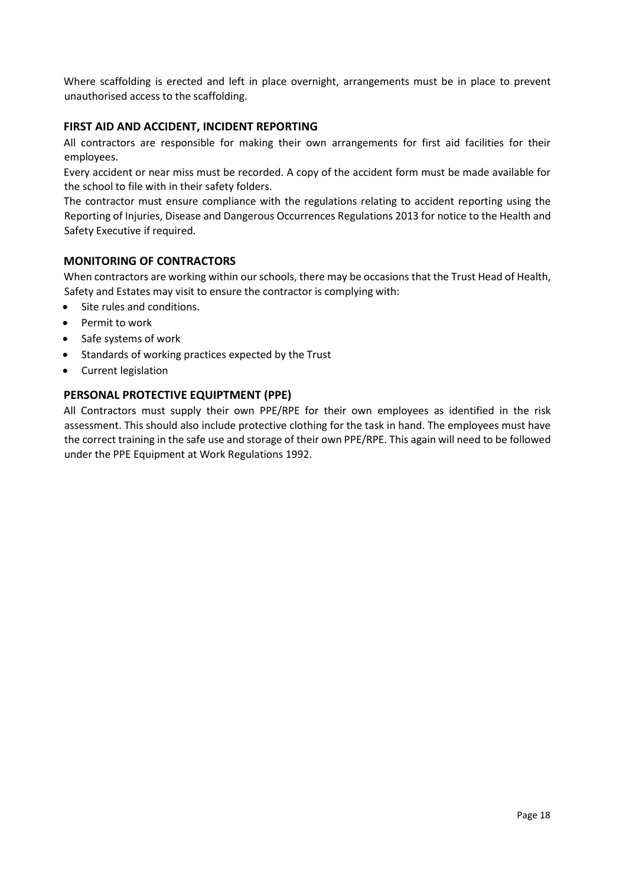Where scaffolding is erected and left in place overnight, arrangements must be in place to prevent unauthorised access to the scaffolding.

## <span id="page-17-0"></span>**FIRST AID AND ACCIDENT, INCIDENT REPORTING**

All contractors are responsible for making their own arrangements for first aid facilities for their employees.

Every accident or near miss must be recorded. A copy of the accident form must be made available for the school to file with in their safety folders.

The contractor must ensure compliance with the regulations relating to accident reporting using the Reporting of Injuries, Disease and Dangerous Occurrences Regulations 2013 for notice to the Health and Safety Executive if required.

## <span id="page-17-1"></span>**MONITORING OF CONTRACTORS**

When contractors are working within our schools, there may be occasions that the Trust Head of Health, Safety and Estates may visit to ensure the contractor is complying with:

- Site rules and conditions.
- Permit to work
- Safe systems of work
- Standards of working practices expected by the Trust
- Current legislation

#### <span id="page-17-2"></span>**PERSONAL PROTECTIVE EQUIPTMENT (PPE)**

All Contractors must supply their own PPE/RPE for their own employees as identified in the risk assessment. This should also include protective clothing for the task in hand. The employees must have the correct training in the safe use and storage of their own PPE/RPE. This again will need to be followed under the PPE Equipment at Work Regulations 1992.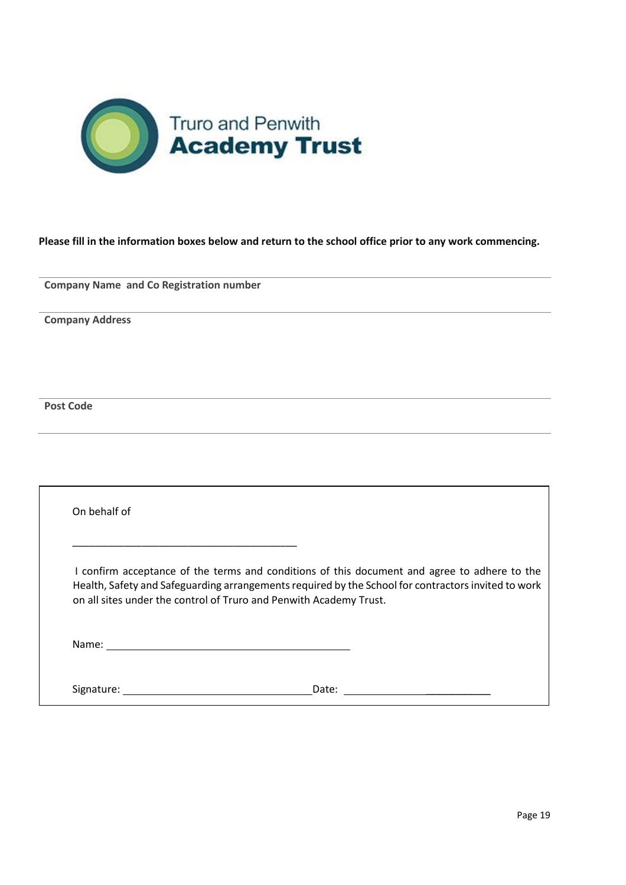

# **Please fill in the information boxes below and return to the school office prior to any work commencing.**

**Company Name and Co Registration number**

**Company Address**

**Post Code** 

| On behalf of |                                                                                                                                                                                                                                                                           |  |
|--------------|---------------------------------------------------------------------------------------------------------------------------------------------------------------------------------------------------------------------------------------------------------------------------|--|
|              | I confirm acceptance of the terms and conditions of this document and agree to adhere to the<br>Health, Safety and Safeguarding arrangements required by the School for contractors invited to work<br>on all sites under the control of Truro and Penwith Academy Trust. |  |
|              |                                                                                                                                                                                                                                                                           |  |
| Signature:   | Date:                                                                                                                                                                                                                                                                     |  |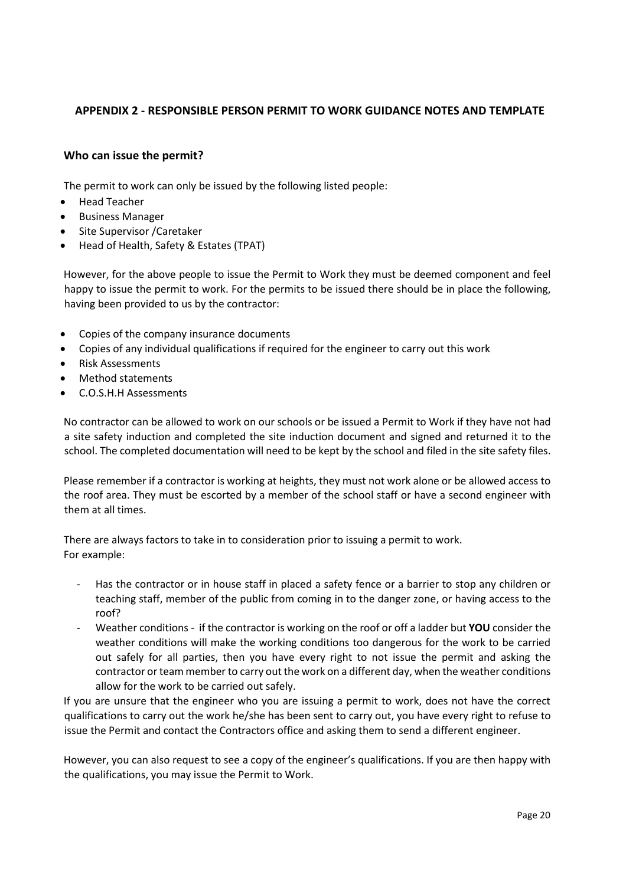# **APPENDIX 2 - RESPONSIBLE PERSON PERMIT TO WORK GUIDANCE NOTES AND TEMPLATE**

## <span id="page-19-0"></span>**Who can issue the permit?**

The permit to work can only be issued by the following listed people:

- Head Teacher
- Business Manager
- Site Supervisor / Caretaker
- Head of Health, Safety & Estates (TPAT)

However, for the above people to issue the Permit to Work they must be deemed component and feel happy to issue the permit to work. For the permits to be issued there should be in place the following, having been provided to us by the contractor:

- Copies of the company insurance documents
- Copies of any individual qualifications if required for the engineer to carry out this work
- Risk Assessments
- Method statements
- C.O.S.H.H Assessments

No contractor can be allowed to work on our schools or be issued a Permit to Work if they have not had a site safety induction and completed the site induction document and signed and returned it to the school. The completed documentation will need to be kept by the school and filed in the site safety files.

Please remember if a contractor is working at heights, they must not work alone or be allowed access to the roof area. They must be escorted by a member of the school staff or have a second engineer with them at all times.

There are always factors to take in to consideration prior to issuing a permit to work. For example:

- Has the contractor or in house staff in placed a safety fence or a barrier to stop any children or teaching staff, member of the public from coming in to the danger zone, or having access to the roof?
- Weather conditions if the contractor is working on the roof or off a ladder but **YOU** consider the weather conditions will make the working conditions too dangerous for the work to be carried out safely for all parties, then you have every right to not issue the permit and asking the contractor or team member to carry out the work on a different day, when the weather conditions allow for the work to be carried out safely.

If you are unsure that the engineer who you are issuing a permit to work, does not have the correct qualifications to carry out the work he/she has been sent to carry out, you have every right to refuse to issue the Permit and contact the Contractors office and asking them to send a different engineer.

However, you can also request to see a copy of the engineer's qualifications. If you are then happy with the qualifications, you may issue the Permit to Work.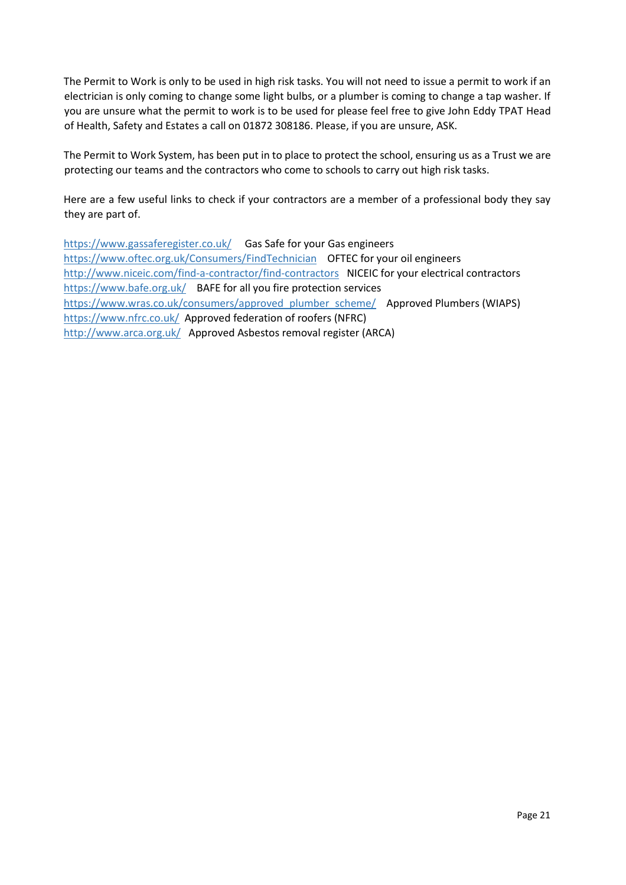The Permit to Work is only to be used in high risk tasks. You will not need to issue a permit to work if an electrician is only coming to change some light bulbs, or a plumber is coming to change a tap washer. If you are unsure what the permit to work is to be used for please feel free to give John Eddy TPAT Head of Health, Safety and Estates a call on 01872 308186. Please, if you are unsure, ASK.

The Permit to Work System, has been put in to place to protect the school, ensuring us as a Trust we are protecting our teams and the contractors who come to schools to carry out high risk tasks.

Here are a few useful links to check if your contractors are a member of a professional body they say they are part of.

<https://www.gassaferegister.co.uk/>Gas Safe for your Gas engineers <https://www.oftec.org.uk/Consumers/FindTechnician>OFTEC for your oil engineers <http://www.niceic.com/find-a-contractor/find-contractors>NICEIC for your electrical contractors <https://www.bafe.org.uk/>BAFE for all you fire protection services [https://www.wras.co.uk/consumers/approved\\_plumber\\_scheme/](https://www.wras.co.uk/consumers/approved_plumber_scheme/) Approved Plumbers (WIAPS) <https://www.nfrc.co.uk/>Approved federation of roofers (NFRC) <http://www.arca.org.uk/>Approved Asbestos removal register (ARCA)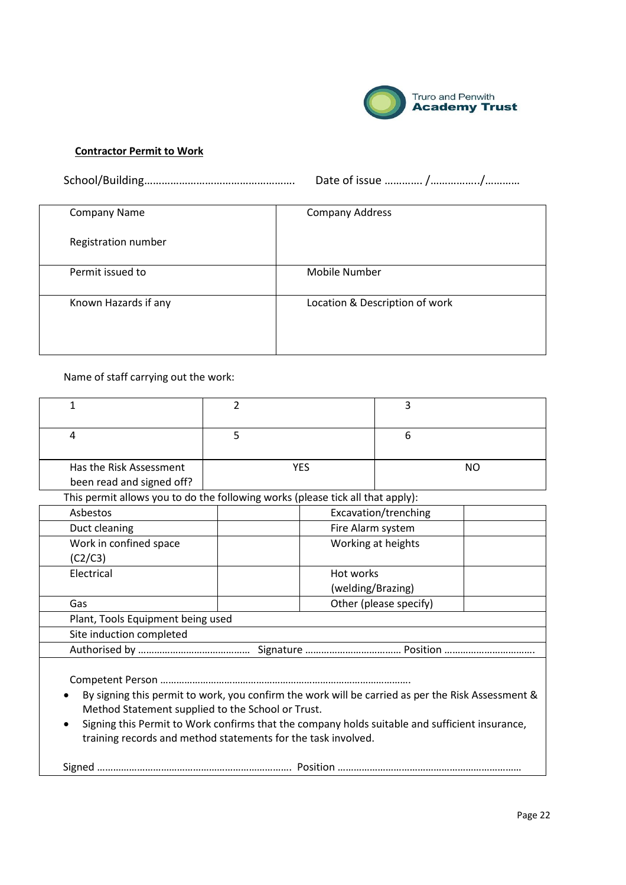

## **Contractor Permit to Work**

School/Building……………………………………………. Date of issue …………. /……………../…………

| <b>Company Name</b>  | <b>Company Address</b>         |  |  |
|----------------------|--------------------------------|--|--|
| Registration number  |                                |  |  |
| Permit issued to     | Mobile Number                  |  |  |
| Known Hazards if any | Location & Description of work |  |  |

Name of staff carrying out the work:

| 1                                                                                                                                                      | 2                              |                    | 3                    |  |  |  |  |
|--------------------------------------------------------------------------------------------------------------------------------------------------------|--------------------------------|--------------------|----------------------|--|--|--|--|
| 4                                                                                                                                                      | 5                              |                    | 6                    |  |  |  |  |
| Has the Risk Assessment<br>been read and signed off?                                                                                                   | <b>YES</b>                     |                    | NO.                  |  |  |  |  |
| This permit allows you to do the following works (please tick all that apply):                                                                         |                                |                    |                      |  |  |  |  |
| Asbestos                                                                                                                                               |                                |                    | Excavation/trenching |  |  |  |  |
| Duct cleaning                                                                                                                                          | Fire Alarm system              |                    |                      |  |  |  |  |
| Work in confined space<br>(C2/C3)                                                                                                                      |                                | Working at heights |                      |  |  |  |  |
| Electrical                                                                                                                                             | Hot works<br>(welding/Brazing) |                    |                      |  |  |  |  |
| Gas                                                                                                                                                    | Other (please specify)         |                    |                      |  |  |  |  |
| Plant, Tools Equipment being used                                                                                                                      |                                |                    |                      |  |  |  |  |
| Site induction completed                                                                                                                               |                                |                    |                      |  |  |  |  |
|                                                                                                                                                        |                                |                    |                      |  |  |  |  |
| By signing this permit to work, you confirm the work will be carried as per the Risk Assessment &<br>Method Statement supplied to the School or Trust. |                                |                    |                      |  |  |  |  |

 Signing this Permit to Work confirms that the company holds suitable and sufficient insurance, training records and method statements for the task involved.

Signed ………………………………………………………………. Position ……………………………………………………………